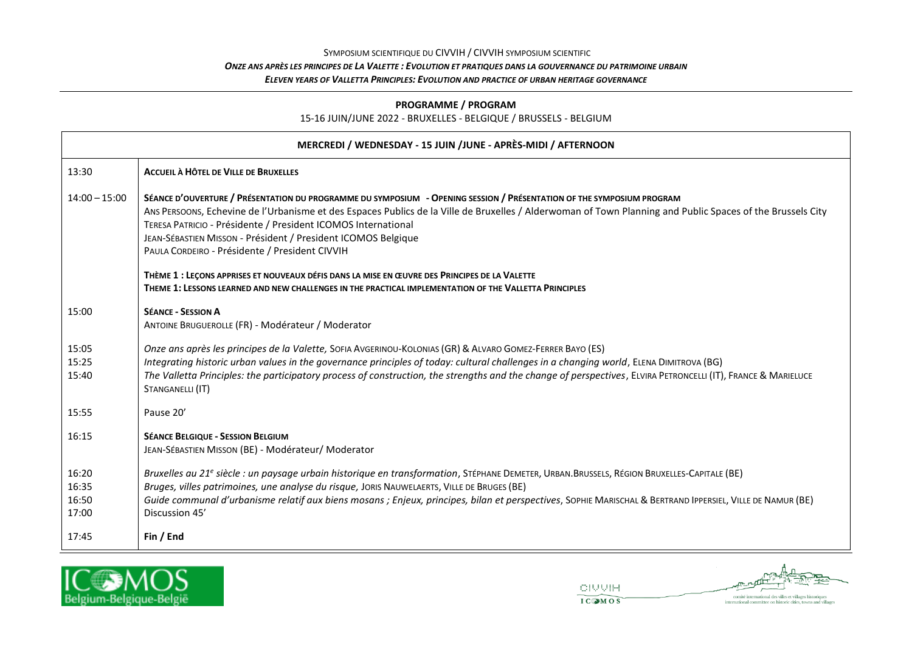## SYMPOSIUM SCIENTIFIQUE DU CIVVIH / CIVVIH SYMPOSIUM SCIENTIFIC *ONZE ANS APRÈS LES PRINCIPES DE LA VALETTE : EVOLUTION ET PRATIQUES DANS LA GOUVERNANCE DU PATRIMOINE URBAIN ELEVEN YEARS OF VALLETTA PRINCIPLES: EVOLUTION AND PRACTICE OF URBAN HERITAGE GOVERNANCE*

### **PROGRAMME / PROGRAM**

### 15-16 JUIN/JUNE 2022 - BRUXELLES - BELGIQUE / BRUSSELS - BELGIUM

| MERCREDI / WEDNESDAY - 15 JUIN /JUNE - APRÈS-MIDI / AFTERNOON |                                                                                                                                                                                                                                                                                                                                                                                                                                                                         |  |
|---------------------------------------------------------------|-------------------------------------------------------------------------------------------------------------------------------------------------------------------------------------------------------------------------------------------------------------------------------------------------------------------------------------------------------------------------------------------------------------------------------------------------------------------------|--|
| 13:30                                                         | <b>ACCUEIL À HÔTEL DE VILLE DE BRUXELLES</b>                                                                                                                                                                                                                                                                                                                                                                                                                            |  |
| $14:00 - 15:00$                                               | SÉANCE D'OUVERTURE / PRÉSENTATION DU PROGRAMME DU SYMPOSIUM - OPENING SESSION / PRÉSENTATION OF THE SYMPOSIUM PROGRAM<br>Ans PERSOONS, Echevine de l'Urbanisme et des Espaces Publics de la Ville de Bruxelles / Alderwoman of Town Planning and Public Spaces of the Brussels City<br>TERESA PATRICIO - Présidente / President ICOMOS International<br>JEAN-SÉBASTIEN MISSON - Président / President ICOMOS Belgique<br>PAULA CORDEIRO - Présidente / President CIVVIH |  |
|                                                               | THÈME 1 : LECONS APPRISES ET NOUVEAUX DÉFIS DANS LA MISE EN ŒUVRE DES PRINCIPES DE LA VALETTE<br>THEME 1: LESSONS LEARNED AND NEW CHALLENGES IN THE PRACTICAL IMPLEMENTATION OF THE VALLETTA PRINCIPLES                                                                                                                                                                                                                                                                 |  |
| 15:00                                                         | <b>SÉANCE - SESSION A</b><br>ANTOINE BRUGUEROLLE (FR) - Modérateur / Moderator                                                                                                                                                                                                                                                                                                                                                                                          |  |
| 15:05<br>15:25<br>15:40                                       | Onze ans après les principes de la Valette, SOFIA AVGERINOU-KOLONIAS (GR) & ALVARO GOMEZ-FERRER BAYO (ES)<br>Integrating historic urban values in the governance principles of today: cultural challenges in a changing world, ELENA DIMITROVA (BG)<br>The Valletta Principles: the participatory process of construction, the strengths and the change of perspectives, ELVIRA PETRONCELLI (IT), FRANCE & MARIELUCE<br>STANGANELLI (IT)                                |  |
| 15:55                                                         | Pause 20'                                                                                                                                                                                                                                                                                                                                                                                                                                                               |  |
| 16:15                                                         | <b>SÉANCE BELGIQUE - SESSION BELGIUM</b><br>JEAN-SÉBASTIEN MISSON (BE) - Modérateur/ Moderator                                                                                                                                                                                                                                                                                                                                                                          |  |
| 16:20<br>16:35<br>16:50<br>17:00                              | Bruxelles au 21 <sup>e</sup> siècle : un paysage urbain historique en transformation, STÉPHANE DEMETER, URBAN.BRUSSELS, RÉGION BRUXELLES-CAPITALE (BE)<br>Bruges, villes patrimoines, une analyse du risque, JORIS NAUWELAERTS, VILLE DE BRUGES (BE)<br>Guide communal d'urbanisme relatif aux biens mosans ; Enjeux, principes, bilan et perspectives, SOPHIE MARISCHAL & BERTRAND IPPERSIEL, VILLE DE NAMUR (BE)<br>Discussion 45'                                    |  |
| 17:45                                                         | Fin / End                                                                                                                                                                                                                                                                                                                                                                                                                                                               |  |



**OIVVIH** 



 $\label{eq:concl} \text{comit\'e international des villes et villages historiques}$  international committee on historic cities, towns and villages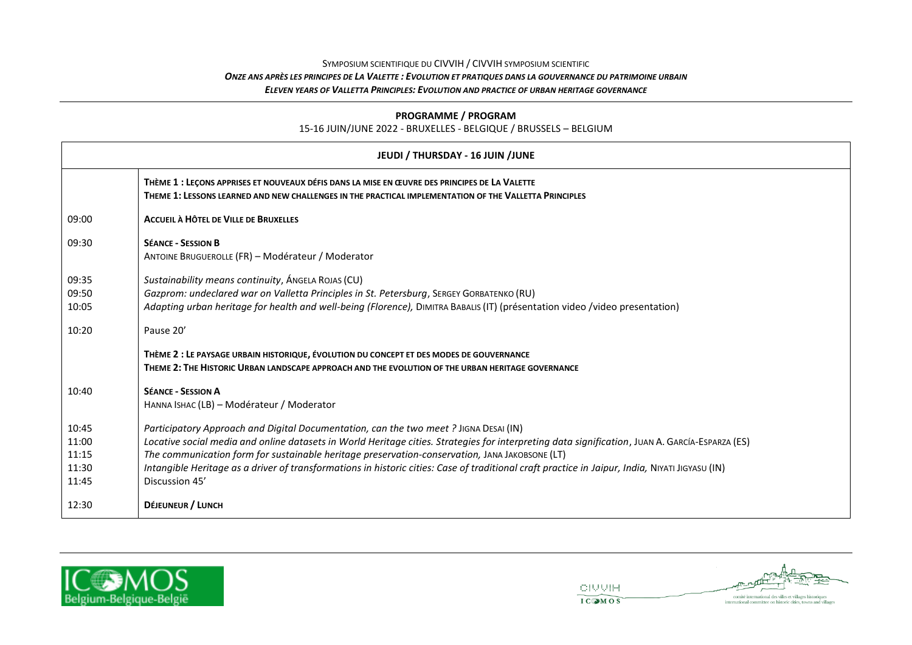### SYMPOSIUM SCIENTIFIQUE DU CIVVIH / CIVVIH SYMPOSIUM SCIENTIFIC *ONZE ANS APRÈS LES PRINCIPES DE LA VALETTE : EVOLUTION ET PRATIQUES DANS LA GOUVERNANCE DU PATRIMOINE URBAIN ELEVEN YEARS OF VALLETTA PRINCIPLES: EVOLUTION AND PRACTICE OF URBAN HERITAGE GOVERNANCE*

**PROGRAMME / PROGRAM** 15-16 JUIN/JUNE 2022 - BRUXELLES - BELGIQUE / BRUSSELS – BELGIUM

| JEUDI / THURSDAY - 16 JUIN /JUNE          |                                                                                                                                                                                                                                                                                                                                                                                                                                                                                                                |  |
|-------------------------------------------|----------------------------------------------------------------------------------------------------------------------------------------------------------------------------------------------------------------------------------------------------------------------------------------------------------------------------------------------------------------------------------------------------------------------------------------------------------------------------------------------------------------|--|
|                                           | THÈME 1 : LEÇONS APPRISES ET NOUVEAUX DÉFIS DANS LA MISE EN ŒUVRE DES PRINCIPES DE LA VALETTE<br>THEME 1: LESSONS LEARNED AND NEW CHALLENGES IN THE PRACTICAL IMPLEMENTATION OF THE VALLETTA PRINCIPLES                                                                                                                                                                                                                                                                                                        |  |
| 09:00                                     | <b>ACCUEIL À HÔTEL DE VILLE DE BRUXELLES</b>                                                                                                                                                                                                                                                                                                                                                                                                                                                                   |  |
| 09:30                                     | <b>SÉANCE - SESSION B</b><br>ANTOINE BRUGUEROLLE (FR) - Modérateur / Moderator                                                                                                                                                                                                                                                                                                                                                                                                                                 |  |
| 09:35<br>09:50<br>10:05                   | Sustainability means continuity, ANGELA ROJAS (CU)<br>Gazprom: undeclared war on Valletta Principles in St. Petersburg, SERGEY GORBATENKO (RU)<br>Adapting urban heritage for health and well-being (Florence), DIMITRA BABALIS (IT) (présentation video /video presentation)                                                                                                                                                                                                                                  |  |
| 10:20                                     | Pause 20'                                                                                                                                                                                                                                                                                                                                                                                                                                                                                                      |  |
|                                           | THÈME 2 : LE PAYSAGE URBAIN HISTORIQUE, ÉVOLUTION DU CONCEPT ET DES MODES DE GOUVERNANCE<br>THEME 2: THE HISTORIC URBAN LANDSCAPE APPROACH AND THE EVOLUTION OF THE URBAN HERITAGE GOVERNANCE                                                                                                                                                                                                                                                                                                                  |  |
| 10:40                                     | <b>SÉANCE - SESSION A</b><br>HANNA ISHAC (LB) - Modérateur / Moderator                                                                                                                                                                                                                                                                                                                                                                                                                                         |  |
| 10:45<br>11:00<br>11:15<br>11:30<br>11:45 | Participatory Approach and Digital Documentation, can the two meet? JIGNA DESAI (IN)<br>Locative social media and online datasets in World Heritage cities. Strategies for interpreting data signification, JUAN A. GARCÍA-ESPARZA (ES)<br>The communication form for sustainable heritage preservation-conservation, JANA JAKOBSONE (LT)<br>Intangible Heritage as a driver of transformations in historic cities: Case of traditional craft practice in Jaipur, India, NIYATI JIGYASU (IN)<br>Discussion 45' |  |
| 12:30                                     | DÉJEUNEUR / LUNCH                                                                                                                                                                                                                                                                                                                                                                                                                                                                                              |  |





**OIVVIH** 

IC MOS